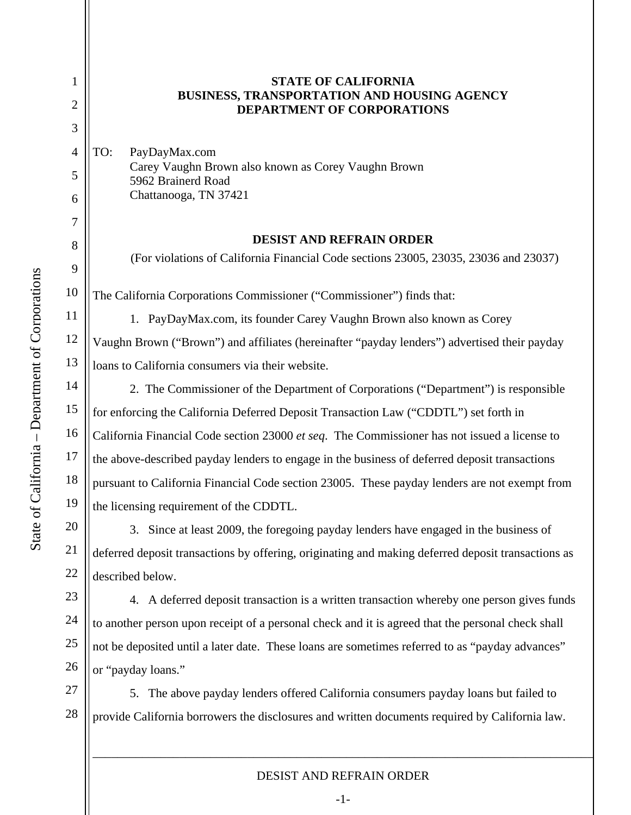1

2

3

4

5

6

7

8

9

10

11

12

13

14

15

16

17

18

19

20

21

22

23

24

25

26

## **STATE OF CALIFORNIA BUSINESS, TRANSPORTATION AND HOUSING AGENCY DEPARTMENT OF CORPORATIONS**

TO: PayDayMax.com Carey Vaughn Brown also known as Corey Vaughn Brown 5962 Brainerd Road Chattanooga, TN 37421

## **DESIST AND REFRAIN ORDER**

(For violations of California Financial Code sections 23005, 23035, 23036 and 23037)

The California Corporations Commissioner ("Commissioner") finds that:

1. PayDayMax.com, its founder Carey Vaughn Brown also known as Corey Vaughn Brown ("Brown") and affiliates (hereinafter "payday lenders") advertised their payday loans to California consumers via their website.

 2. The Commissioner of the Department of Corporations ("Department") is responsible for enforcing the California Deferred Deposit Transaction Law ("CDDTL") set forth in California Financial Code section 23000 *et seq*. The Commissioner has not issued a license to the above-described payday lenders to engage in the business of deferred deposit transactions pursuant to California Financial Code section 23005. These payday lenders are not exempt from the licensing requirement of the CDDTL.

3. Since at least 2009, the foregoing payday lenders have engaged in the business of deferred deposit transactions by offering, originating and making deferred deposit transactions as described below.

 4. A deferred deposit transaction is a written transaction whereby one person gives funds to another person upon receipt of a personal check and it is agreed that the personal check shall not be deposited until a later date. These loans are sometimes referred to as "payday advances" or "payday loans."

27 28 5. The above payday lenders offered California consumers payday loans but failed to provide California borrowers the disclosures and written documents required by California law.

## DESIST AND REFRAIN ORDER

\_\_\_\_\_\_\_\_\_\_\_\_\_\_\_\_\_\_\_\_\_\_\_\_\_\_\_\_\_\_\_\_\_\_\_\_\_\_\_\_\_\_\_\_\_\_\_\_\_\_\_\_\_\_\_\_\_\_\_\_\_\_\_\_\_\_\_\_\_\_\_\_\_\_\_\_\_\_\_\_\_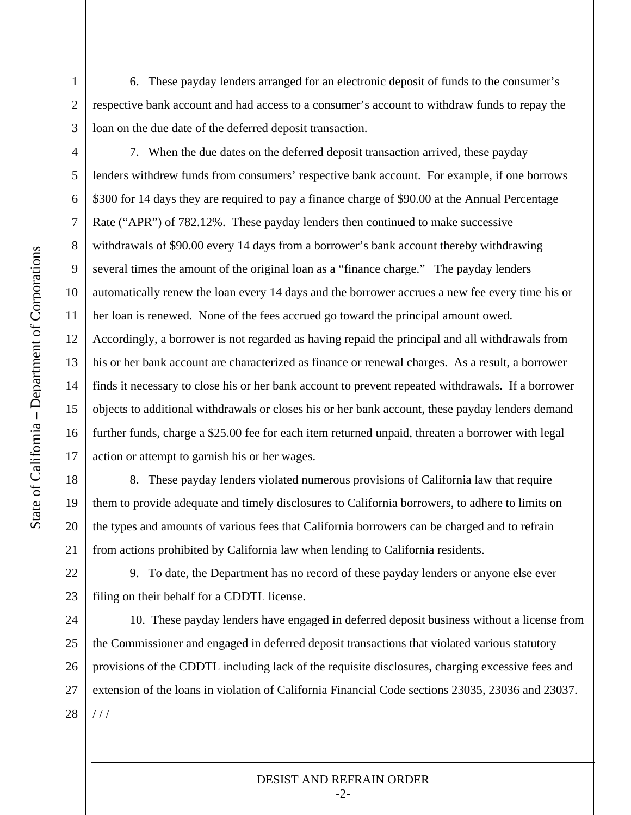6. These payday lenders arranged for an electronic deposit of funds to the consumer's respective bank account and had access to a consumer's account to withdraw funds to repay the loan on the due date of the deferred deposit transaction.

3 4

5

6

7

8

9

10

11

12

13

14

15

16

17

18

19

20

21

22

23

1

2

7. When the due dates on the deferred deposit transaction arrived, these payday lenders withdrew funds from consumers' respective bank account. For example, if one borrows \$300 for 14 days they are required to pay a finance charge of \$90.00 at the Annual Percentage Rate ("APR") of 782.12%. These payday lenders then continued to make successive withdrawals of \$90.00 every 14 days from a borrower's bank account thereby withdrawing several times the amount of the original loan as a "finance charge." The payday lenders automatically renew the loan every 14 days and the borrower accrues a new fee every time his or her loan is renewed. None of the fees accrued go toward the principal amount owed. Accordingly, a borrower is not regarded as having repaid the principal and all withdrawals from his or her bank account are characterized as finance or renewal charges. As a result, a borrower finds it necessary to close his or her bank account to prevent repeated withdrawals. If a borrower objects to additional withdrawals or closes his or her bank account, these payday lenders demand further funds, charge a \$25.00 fee for each item returned unpaid, threaten a borrower with legal action or attempt to garnish his or her wages.

8. These payday lenders violated numerous provisions of California law that require them to provide adequate and timely disclosures to California borrowers, to adhere to limits on the types and amounts of various fees that California borrowers can be charged and to refrain from actions prohibited by California law when lending to California residents.

9. To date, the Department has no record of these payday lenders or anyone else ever filing on their behalf for a CDDTL license.

24 25 26 27 28 10. These payday lenders have engaged in deferred deposit business without a license from the Commissioner and engaged in deferred deposit transactions that violated various statutory provisions of the CDDTL including lack of the requisite disclosures, charging excessive fees and extension of the loans in violation of California Financial Code sections 23035, 23036 and 23037.  $111$